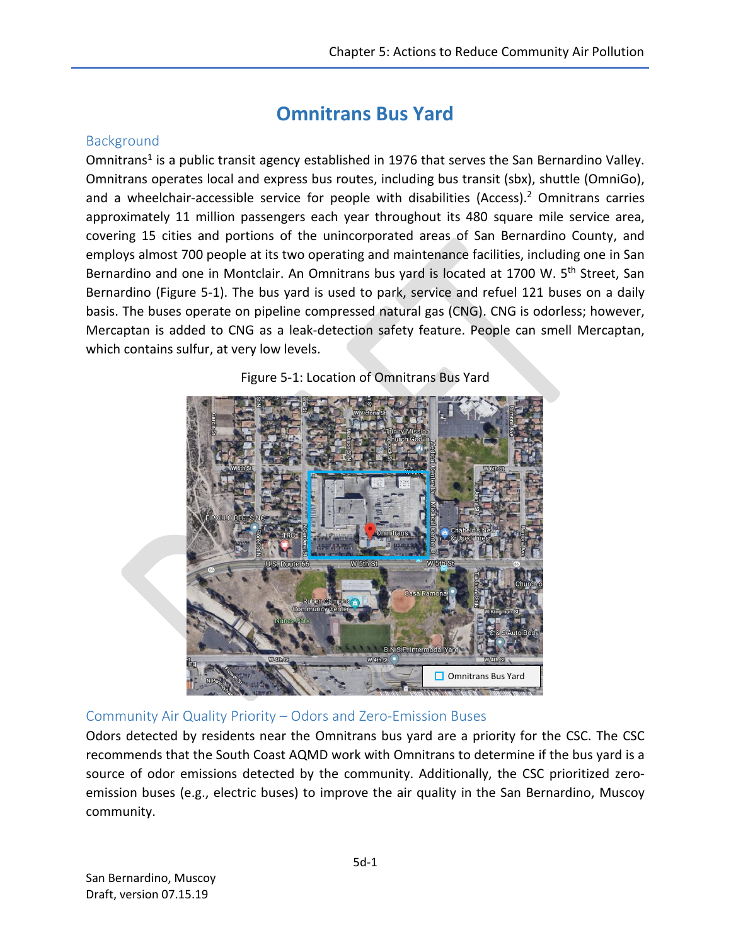# **Omnitrans Bus Yard**

### **Background**

Omnitrans<sup>1</sup> is a public transit agency established in 1976 that serves the San Bernardino Valley. Omnitrans operates local and express bus routes, including bus transit (sbx), shuttle (OmniGo), and a wheelchair-accessible service for people with disabilities (Access). <sup>2</sup> Omnitrans carries approximately 11 million passengers each year throughout its 480 square mile service area, covering 15 cities and portions of the unincorporated areas of San Bernardino County, and employs almost 700 people at its two operating and maintenance facilities, including one in San Bernardino and one in Montclair. An Omnitrans bus yard is located at 1700 W. 5<sup>th</sup> Street, San Bernardino (Figure 5-1). The bus yard is used to park, service and refuel 121 buses on a daily basis. The buses operate on pipeline compressed natural gas (CNG). CNG is odorless; however, Mercaptan is added to CNG as a leak-detection safety feature. People can smell Mercaptan, which contains sulfur, at very low levels.





### Community Air Quality Priority – Odors and Zero-Emission Buses

Odors detected by residents near the Omnitrans bus yard are a priority for the CSC. The CSC recommends that the South Coast AQMD work with Omnitrans to determine if the bus yard is a source of odor emissions detected by the community. Additionally, the CSC prioritized zeroemission buses (e.g., electric buses) to improve the air quality in the San Bernardino, Muscoy community.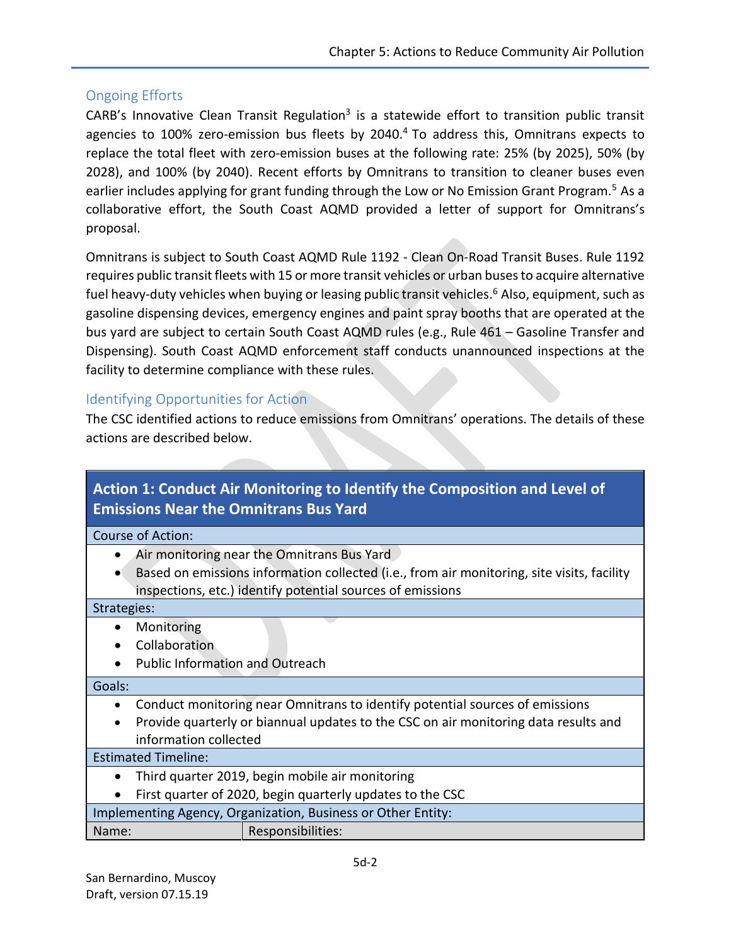### Ongoing Efforts

CARB's Innovative Clean Transit Regulation<sup>3</sup> is a statewide effort to transition public transit agencies to 100% zero-emission bus fleets by 2040.<sup>4</sup> To address this, Omnitrans expects to replace the total fleet with zero-emission buses at the following rate: 25% (by 2025), 50% (by 2028), and 100% (by 2040). Recent efforts by Omnitrans to transition to cleaner buses even earlier includes applying for grant funding through the Low or No Emission Grant Program.<sup>5</sup> As a collaborative effort, the South Coast AQMD provided a letter of support for Omnitrans's proposal.

Omnitrans is subject to South Coast AQMD Rule 1192 - Clean On-Road Transit Buses. Rule 1192 requires public transit fleets with 15 or more transit vehicles or urban buses to acquire alternative fuel heavy-duty vehicles when buying or leasing public transit vehicles.<sup>6</sup> Also, equipment, such as gasoline dispensing devices, emergency engines and paint spray booths that are operated at the bus yard are subject to certain South Coast AQMD rules (e.g., Rule 461 – Gasoline Transfer and Dispensing). South Coast AQMD enforcement staff conducts unannounced inspections at the facility to determine compliance with these rules.

### Identifying Opportunities for Action

The CSC identified actions to reduce emissions from Omnitrans' operations. The details of these actions are described below.

| Action 1: Conduct Air Monitoring to Identify the Composition and Level of<br><b>Emissions Near the Omnitrans Bus Yard</b> |  |  |
|---------------------------------------------------------------------------------------------------------------------------|--|--|
| Course of Action:                                                                                                         |  |  |
| Air monitoring near the Omnitrans Bus Yard                                                                                |  |  |
| Based on emissions information collected (i.e., from air monitoring, site visits, facility                                |  |  |
| inspections, etc.) identify potential sources of emissions                                                                |  |  |
| Strategies:                                                                                                               |  |  |
| Monitoring<br>$\bullet$                                                                                                   |  |  |
| Collaboration                                                                                                             |  |  |
| <b>Public Information and Outreach</b>                                                                                    |  |  |
| Goals:                                                                                                                    |  |  |
| Conduct monitoring near Omnitrans to identify potential sources of emissions                                              |  |  |
| Provide quarterly or biannual updates to the CSC on air monitoring data results and                                       |  |  |
| information collected                                                                                                     |  |  |
| <b>Estimated Timeline:</b>                                                                                                |  |  |
| Third quarter 2019, begin mobile air monitoring<br>٠                                                                      |  |  |
| First quarter of 2020, begin quarterly updates to the CSC                                                                 |  |  |
| Implementing Agency, Organization, Business or Other Entity:                                                              |  |  |
| Responsibilities:<br>Name:                                                                                                |  |  |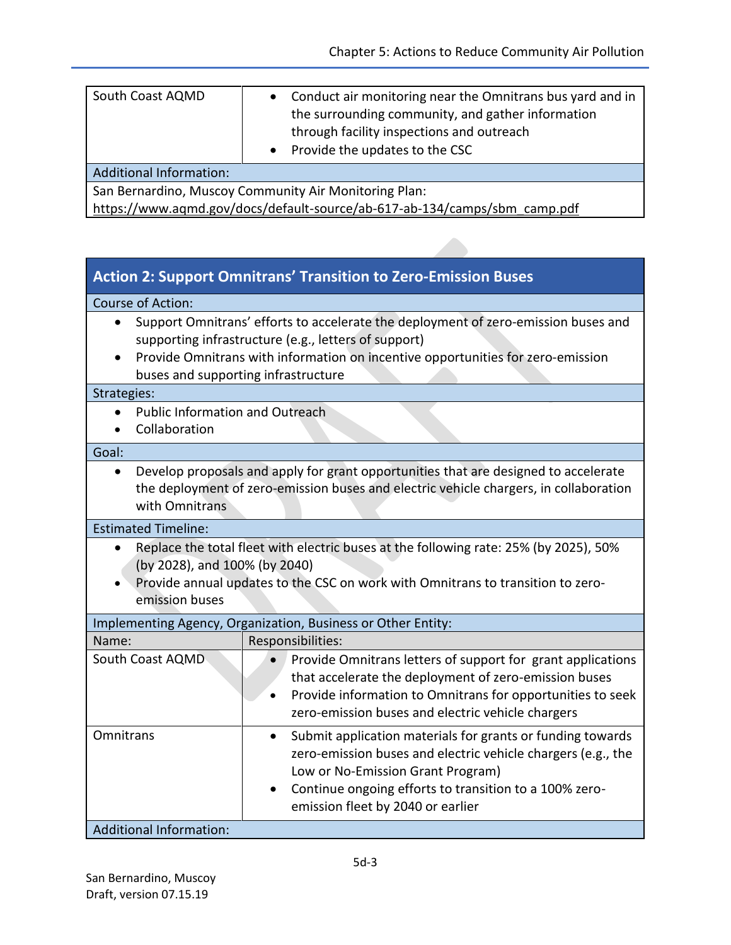| South Coast AQMD                                                          | Conduct air monitoring near the Omnitrans bus yard and in<br>$\bullet$<br>the surrounding community, and gather information<br>through facility inspections and outreach<br>Provide the updates to the CSC<br>$\bullet$ |  |
|---------------------------------------------------------------------------|-------------------------------------------------------------------------------------------------------------------------------------------------------------------------------------------------------------------------|--|
| <b>Additional Information:</b>                                            |                                                                                                                                                                                                                         |  |
| San Bernardino, Muscoy Community Air Monitoring Plan:                     |                                                                                                                                                                                                                         |  |
| https://www.aqmd.gov/docs/default-source/ab-617-ab-134/camps/sbm_camp.pdf |                                                                                                                                                                                                                         |  |

### **Action 2: Support Omnitrans' Transition to Zero-Emission Buses**

#### Course of Action:

- Support Omnitrans' efforts to accelerate the deployment of zero-emission buses and supporting infrastructure (e.g., letters of support)
- Provide Omnitrans with information on incentive opportunities for zero-emission buses and supporting infrastructure

#### Strategies:

- Public Information and Outreach
- Collaboration

#### Goal:

 Develop proposals and apply for grant opportunities that are designed to accelerate the deployment of zero-emission buses and electric vehicle chargers, in collaboration with Omnitrans

#### Estimated Timeline:

- Replace the total fleet with electric buses at the following rate: 25% (by 2025), 50% (by 2028), and 100% (by 2040)
- Provide annual updates to the CSC on work with Omnitrans to transition to zeroemission buses

| Implementing Agency, Organization, Business or Other Entity: |                                                                                                                                                                                                                                                                |  |
|--------------------------------------------------------------|----------------------------------------------------------------------------------------------------------------------------------------------------------------------------------------------------------------------------------------------------------------|--|
| Name:                                                        | Responsibilities:                                                                                                                                                                                                                                              |  |
| South Coast AQMD                                             | Provide Omnitrans letters of support for grant applications<br>$\bullet$<br>that accelerate the deployment of zero-emission buses<br>Provide information to Omnitrans for opportunities to seek<br>zero-emission buses and electric vehicle chargers           |  |
| Omnitrans                                                    | Submit application materials for grants or funding towards<br>zero-emission buses and electric vehicle chargers (e.g., the<br>Low or No-Emission Grant Program)<br>Continue ongoing efforts to transition to a 100% zero-<br>emission fleet by 2040 or earlier |  |
| <b>Additional Information:</b>                               |                                                                                                                                                                                                                                                                |  |